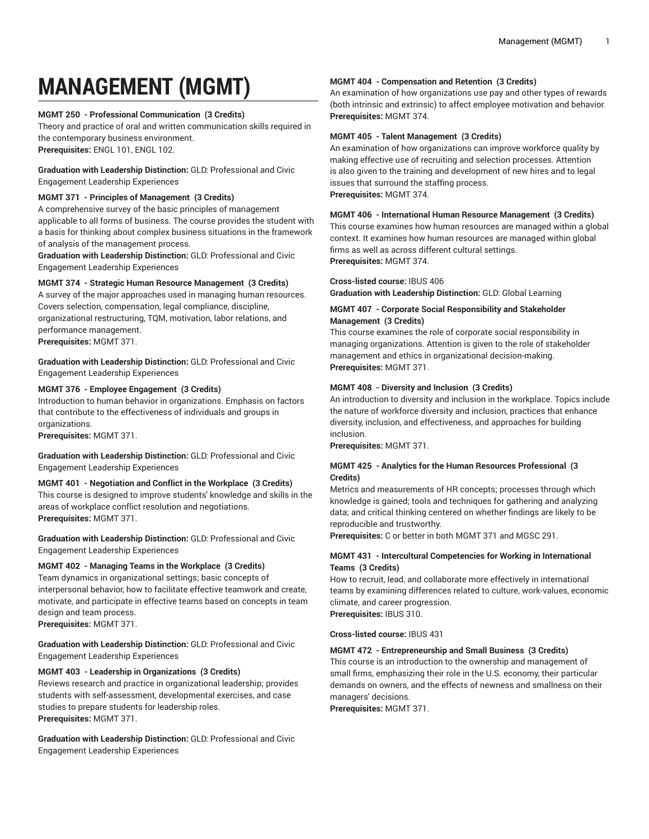# **MANAGEMENT (MGMT)**

# **MGMT 250 - Professional Communication (3 Credits)**

Theory and practice of oral and written communication skills required in the contemporary business environment. **Prerequisites:** ENGL 101, ENGL 102.

**Graduation with Leadership Distinction:** GLD: Professional and Civic Engagement Leadership Experiences

# **MGMT 371 - Principles of Management (3 Credits)**

A comprehensive survey of the basic principles of management applicable to all forms of business. The course provides the student with a basis for thinking about complex business situations in the framework of analysis of the management process.

**Graduation with Leadership Distinction:** GLD: Professional and Civic Engagement Leadership Experiences

# **MGMT 374 - Strategic Human Resource Management (3 Credits)**

A survey of the major approaches used in managing human resources. Covers selection, compensation, legal compliance, discipline, organizational restructuring, TQM, motivation, labor relations, and performance management. **Prerequisites:** MGMT 371.

**Graduation with Leadership Distinction:** GLD: Professional and Civic Engagement Leadership Experiences

# **MGMT 376 - Employee Engagement (3 Credits)**

Introduction to human behavior in organizations. Emphasis on factors that contribute to the effectiveness of individuals and groups in organizations.

**Prerequisites:** MGMT 371.

**Graduation with Leadership Distinction:** GLD: Professional and Civic Engagement Leadership Experiences

## **MGMT 401 - Negotiation and Conflict in the Workplace (3 Credits)**

This course is designed to improve students' knowledge and skills in the areas of workplace conflict resolution and negotiations. **Prerequisites:** MGMT 371.

**Graduation with Leadership Distinction:** GLD: Professional and Civic Engagement Leadership Experiences

## **MGMT 402 - Managing Teams in the Workplace (3 Credits)**

Team dynamics in organizational settings; basic concepts of interpersonal behavior, how to facilitate effective teamwork and create, motivate, and participate in effective teams based on concepts in team design and team process.

**Prerequisites:** MGMT 371.

**Graduation with Leadership Distinction:** GLD: Professional and Civic Engagement Leadership Experiences

# **MGMT 403 - Leadership in Organizations (3 Credits)**

Reviews research and practice in organizational leadership; provides students with self-assessment, developmental exercises, and case studies to prepare students for leadership roles. **Prerequisites:** MGMT 371.

**Graduation with Leadership Distinction:** GLD: Professional and Civic Engagement Leadership Experiences

## **MGMT 404 - Compensation and Retention (3 Credits)**

An examination of how organizations use pay and other types of rewards (both intrinsic and extrinsic) to affect employee motivation and behavior. **Prerequisites:** MGMT 374.

#### **MGMT 405 - Talent Management (3 Credits)**

An examination of how organizations can improve workforce quality by making effective use of recruiting and selection processes. Attention is also given to the training and development of new hires and to legal issues that surround the staffing process. **Prerequisites:** MGMT 374.

#### **MGMT 406 - International Human Resource Management (3 Credits)**

This course examines how human resources are managed within a global context. It examines how human resources are managed within global firms as well as across different cultural settings. **Prerequisites:** MGMT 374.

#### **Cross-listed course:** IBUS 406

**Graduation with Leadership Distinction:** GLD: Global Learning

## **MGMT 407 - Corporate Social Responsibility and Stakeholder Management (3 Credits)**

This course examines the role of corporate social responsibility in managing organizations. Attention is given to the role of stakeholder management and ethics in organizational decision-making. **Prerequisites:** MGMT 371.

## **MGMT 408 - Diversity and Inclusion (3 Credits)**

An introduction to diversity and inclusion in the workplace. Topics include the nature of workforce diversity and inclusion, practices that enhance diversity, inclusion, and effectiveness, and approaches for building inclusion.

**Prerequisites:** MGMT 371.

## **MGMT 425 - Analytics for the Human Resources Professional (3 Credits)**

Metrics and measurements of HR concepts; processes through which knowledge is gained; tools and techniques for gathering and analyzing data; and critical thinking centered on whether findings are likely to be reproducible and trustworthy.

**Prerequisites:** C or better in both MGMT 371 and MGSC 291.

# **MGMT 431 - Intercultural Competencies for Working in International Teams (3 Credits)**

How to recruit, lead, and collaborate more effectively in international teams by examining differences related to culture, work-values, economic climate, and career progression. **Prerequisites:** IBUS 310.

**Cross-listed course:** IBUS 431

## **MGMT 472 - Entrepreneurship and Small Business (3 Credits)**

This course is an introduction to the ownership and management of small firms, emphasizing their role in the U.S. economy, their particular demands on owners, and the effects of newness and smallness on their managers' decisions.

**Prerequisites:** MGMT 371.